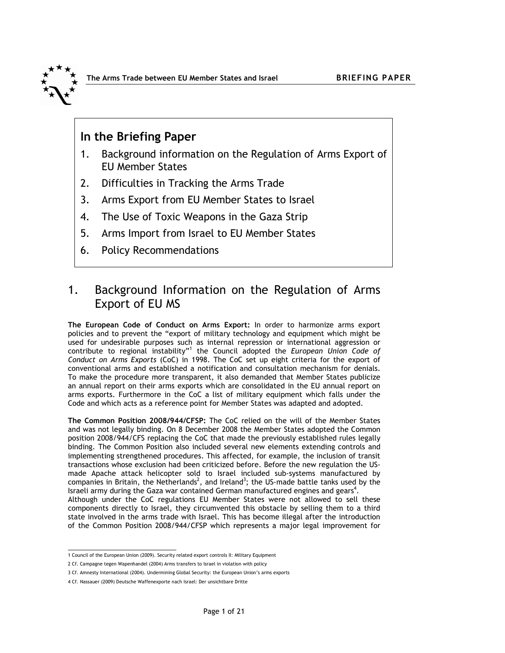

## In the Briefing Paper

- 1. Background information on the Regulation of Arms Export of EU Member States
- 2. Difficulties in Tracking the Arms Trade
- 3. Arms Export from EU Member States to Israel
- 4. The Use of Toxic Weapons in the Gaza Strip
- 5. Arms Import from Israel to EU Member States
- 6. Policy Recommendations

# 1. Background Information on the Regulation of Arms Export of EU MS

The European Code of Conduct on Arms Export: In order to harmonize arms export policies and to prevent the "export of military technology and equipment which might be used for undesirable purposes such as internal repression or international aggression or contribute to regional instability"<sup>1</sup> the Council adopted the European Union Code of Conduct on Arms Exports (CoC) in 1998. The CoC set up eight criteria for the export of conventional arms and established a notification and consultation mechanism for denials. To make the procedure more transparent, it also demanded that Member States publicize an annual report on their arms exports which are consolidated in the EU annual report on arms exports. Furthermore in the CoC a list of military equipment which falls under the Code and which acts as a reference point for Member States was adapted and adopted.

The Common Position 2008/944/CFSP: The CoC relied on the will of the Member States and was not legally binding. On 8 December 2008 the Member States adopted the Common position 2008/944/CFS replacing the CoC that made the previously established rules legally binding. The Common Position also included several new elements extending controls and implementing strengthened procedures. This affected, for example, the inclusion of transit transactions whose exclusion had been criticized before. Before the new regulation the USmade Apache attack helicopter sold to Israel included sub-systems manufactured by companies in Britain, the Netherlands<sup>2</sup>, and Ireland<sup>3</sup>; the US-made battle tanks used by the Israeli army during the Gaza war contained German manufactured engines and gears<sup>4</sup>. Although under the CoC regulations EU Member States were not allowed to sell these components directly to Israel, they circumvented this obstacle by selling them to a third state involved in the arms trade with Israel. This has become illegal after the introduction of the Common Position 2008/944/CFSP which represents a major legal improvement for

 1 Council of the European Union (2009). Security related export controls II: Military Equipment

<sup>2</sup> Cf. Campagne tegen Wapenhandel (2004) Arms transfers to Israel in violation with policy

<sup>3</sup> Cf. Amnesty International (2004). Undermining Global Security: the European Union's arms exports

<sup>4</sup> Cf. Nassauer (2009) Deutsche Waffenexporte nach Israel: Der unsichtbare Dritte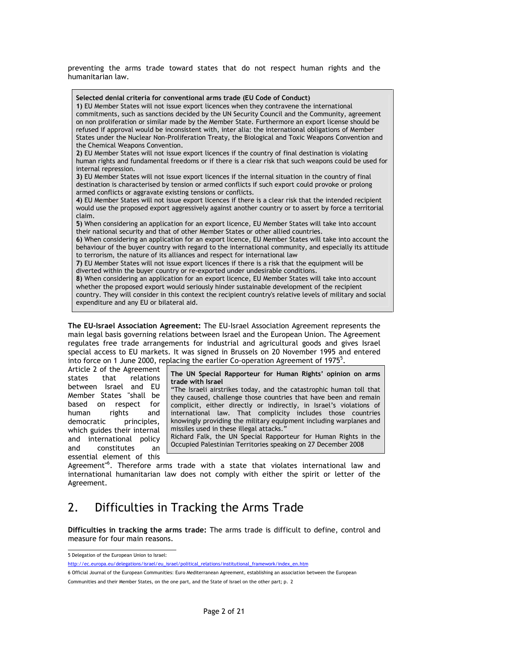preventing the arms trade toward states that do not respect human rights and the humanitarian law.



The EU-Israel Association Agreement: The EU-Israel Association Agreement represents the main legal basis governing relations between Israel and the European Union. The Agreement regulates free trade arrangements for industrial and agricultural goods and gives Israel special access to EU markets. It was signed in Brussels on 20 November 1995 and entered into force on 1 June 2000, replacing the earlier Co-operation Agreement of 1975 $<sup>5</sup>$ .</sup>

Article 2 of the Agreement states that relations between Israel and EU Member States "shall be based on respect for human rights and democratic principles, which guides their internal and international policy and constitutes an essential element of this

The UN Special Rapporteur for Human Rights' opinion on arms trade with Israel

"The Israeli airstrikes today, and the catastrophic human toll that they caused, challenge those countries that have been and remain complicit, either directly or indirectly, in Israel's violations of international law. That complicity includes those countries knowingly providing the military equipment including warplanes and missiles used in these illegal attacks."

Richard Falk, the UN Special Rapporteur for Human Rights in the Occupied Palestinian Territories speaking on 27 December 2008

Agreement"<sup>6</sup>. Therefore arms trade with a state that violates international law and international humanitarian law does not comply with either the spirit or letter of the Agreement.

## 2. Difficulties in Tracking the Arms Trade

Difficulties in tracking the arms trade: The arms trade is difficult to define, control and measure for four main reasons.

 5 Delegation of the European Union to Israel:

http://ec.europa.eu/delegations/israel/eu\_israel/political\_relations/institutional\_framework/index\_en.htm

<sup>6</sup> Official Journal of the European Communities: Euro Mediterranean Agreement, establishing an association between the European Communities and their Member States, on the one part, and the State of Israel on the other part; p. 2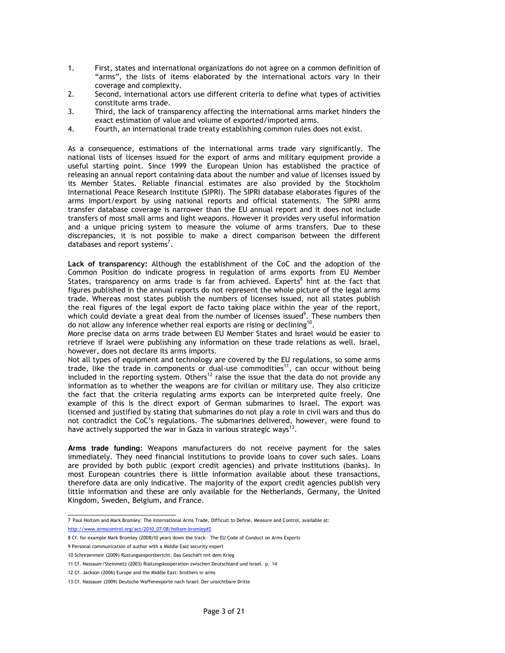- 1. First, states and international organizations do not agree on a common definition of "arms", the lists of items elaborated by the international actors vary in their coverage and complexity.
- 2. Second, international actors use different criteria to define what types of activities constitute arms trade.
- 3. Third, the lack of transparency affecting the international arms market hinders the exact estimation of value and volume of exported/imported arms.
- 4. Fourth, an international trade treaty establishing common rules does not exist.

As a consequence, estimations of the international arms trade vary significantly. The national lists of licenses issued for the export of arms and military equipment provide a useful starting point. Since 1999 the European Union has established the practice of releasing an annual report containing data about the number and value of licenses issued by its Member States. Reliable financial estimates are also provided by the Stockholm International Peace Research Institute (SIPRI). The SIPRI database elaborates figures of the arms import/export by using national reports and official statements. The SIPRI arms transfer database coverage is narrower than the EU annual report and it does not include transfers of most small arms and light weapons. However it provides very useful information and a unique pricing system to measure the volume of arms transfers. Due to these discrepancies, it is not possible to make a direct comparison between the different databases and report systems<sup>7</sup>.

Lack of transparency: Although the establishment of the CoC and the adoption of the Common Position do indicate progress in regulation of arms exports from EU Member States, transparency on arms trade is far from achieved. Experts<sup>8</sup> hint at the fact that figures published in the annual reports do not represent the whole picture of the legal arms trade. Whereas most states publish the numbers of licenses issued, not all states publish the real figures of the legal export de facto taking place within the year of the report, which could deviate a great deal from the number of licenses issued<sup>9</sup>. These numbers then do not allow any inference whether real exports are rising or declining<sup>10</sup>.

More precise data on arms trade between EU Member States and Israel would be easier to retrieve if Israel were publishing any information on these trade relations as well. Israel, however, does not declare its arms imports.

Not all types of equipment and technology are covered by the EU regulations, so some arms trade, like the trade in components or dual-use commodities<sup>11</sup>, can occur without being included in the reporting system. Others<sup>12</sup> raise the issue that the data do not provide any information as to whether the weapons are for civilian or military use. They also criticize the fact that the criteria regulating arms exports can be interpreted quite freely. One example of this is the direct export of German submarines to Israel. The export was licensed and justified by stating that submarines do not play a role in civil wars and thus do not contradict the CoC's regulations. The submarines delivered, however, were found to have actively supported the war in Gaza in various strategic ways<sup>13</sup> .

**Arms trade funding:** Weapons manufacturers do not receive payment for the sales immediately. They need financial institutions to provide loans to cover such sales. Loans are provided by both public (export credit agencies) and private institutions (banks). In most European countries there is little information available about these transactions, therefore data are only indicative. The majority of the export credit agencies publish very little information and these are only available for the Netherlands, Germany, the United Kingdom, Sweden, Belgium, and France.

 7 Paul Holtom and Mark Bromley: The International Arms Trade, Difficult to Define, Measure and Control, available at: http://www.armscontrol.org/act/2010\_07-08/holtom-bromley#2

<sup>8</sup> Cf. for example Mark Bromley (2008)10 years down the track – The EU Code of Conduct on Arms Exports

<sup>9</sup> Personal communication of author with a Middle East security expert

<sup>10</sup> Schrezenmeir (2009) Rüstungsexportbericht: Das Geschäft mit dem Krieg

<sup>11</sup> Cf. Nassauer/Steinmetz (2003) Rüstungskooperation zwischen Deutschland und Israel. p. 14

<sup>12</sup> Cf. Jackson (2006) Europe and the Middle East: brothers in arms

<sup>13</sup> Cf. Nassauer (2009) Deutsche Waffenexporte nach Israel: Der unsichtbare Dritte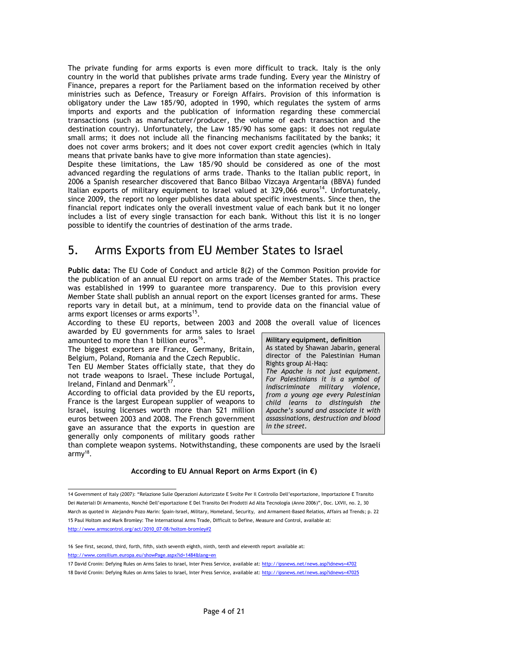The private funding for arms exports is even more difficult to track. Italy is the only country in the world that publishes private arms trade funding. Every year the Ministry of Finance, prepares a report for the Parliament based on the information received by other ministries such as Defence, Treasury or Foreign Affairs. Provision of this information is obligatory under the Law 185/90, adopted in 1990, which regulates the system of arms imports and exports and the publication of information regarding these commercial transactions (such as manufacturer/producer, the volume of each transaction and the destination country). Unfortunately, the Law 185/90 has some gaps: it does not regulate small arms; it does not include all the financing mechanisms facilitated by the banks; it does not cover arms brokers; and it does not cover export credit agencies (which in Italy means that private banks have to give more information than state agencies).

Despite these limitations, the Law 185/90 should be considered as one of the most advanced regarding the regulations of arms trade. Thanks to the Italian public report, in 2006 a Spanish researcher discovered that Banco Bilbao Vizcaya Argentaria (BBVA) funded Italian exports of military equipment to Israel valued at 329,066 euros<sup>14</sup>. Unfortunately, since 2009, the report no longer publishes data about specific investments. Since then, the financial report indicates only the overall investment value of each bank but it no longer includes a list of every single transaction for each bank. Without this list it is no longer possible to identify the countries of destination of the arms trade.

# 5. Arms Exports from EU Member States to Israel

Public data: The EU Code of Conduct and article 8(2) of the Common Position provide for the publication of an annual EU report on arms trade of the Member States. This practice was established in 1999 to guarantee more transparency. Due to this provision every Member State shall publish an annual report on the export licenses granted for arms. These reports vary in detail but, at a minimum, tend to provide data on the financial value of arms export licenses or arms exports<sup>15</sup>.

According to these EU reports, between 2003 and 2008 the overall value of licences awarded by EU governments for arms sales to Israel amounted to more than 1 billion euros<sup>16</sup>.

The biggest exporters are France, Germany, Britain, Belgium, Poland, Romania and the Czech Republic.

Ten EU Member States officially state, that they do not trade weapons to Israel. These include Portugal, Ireland, Finland and Denmark<sup>17</sup>.

According to official data provided by the EU reports, France is the largest European supplier of weapons to Israel, issuing licenses worth more than 521 million euros between 2003 and 2008. The French government gave an assurance that the exports in question are generally only components of military goods rather Military equipment, definition As stated by Shawan Jabarin, general director of the Palestinian Human Rights group Al-Haq: The Apache is not just equipment. For Palestinians it is a symbol of indiscriminate military violence, from a young age every Palestinian child learns to distinguish the Apache's sound and associate it with assassinations, destruction and blood in the street.

than complete weapon systems. Notwithstanding, these components are used by the Israeli army<sup>18</sup>.

## According to EU Annual Report on Arms Export (in  $\epsilon$ )

 14 Government of Italy (2007): "Relazione Sulle Operazioni Autorizzate E Svolte Per Il Controllo Dell'esportazione, Importazione E Transito Dei Materiali Di Armamento, Nonché Dell'esportazione E Del Transito Dei Prodotti Ad Alta Tecnología (Anno 2006)", Doc. LXVII, no. 2, 30 March as quoted in Alejandro Pozo Marin: Spain-Israel, Military, Homeland, Security, and Armament-Based Relatios, Affairs ad Trends; p. 22 15 Paul Holtom and Mark Bromley: The International Arms Trade, Difficult to Define, Measure and Control, available at: http://www.armscontrol.org/act/2010\_07-08/holtom-bromley#2

<sup>16</sup> See first, second, third, forth, fifth, sixth seventh eighth, ninth, tenth and eleventh report available at: http://www.consilium.europa.eu/showPage.aspx?id=1484&lang=en

<sup>17</sup> David Cronin: Defying Rules on Arms Sales to Israel, Inter Press Service, available at: http://ipsnews.net/news.asp?idnews=4702 18 David Cronin: Defying Rules on Arms Sales to Israel, Inter Press Service, available at: http://ipsnews.net/news.asp?idnews=47025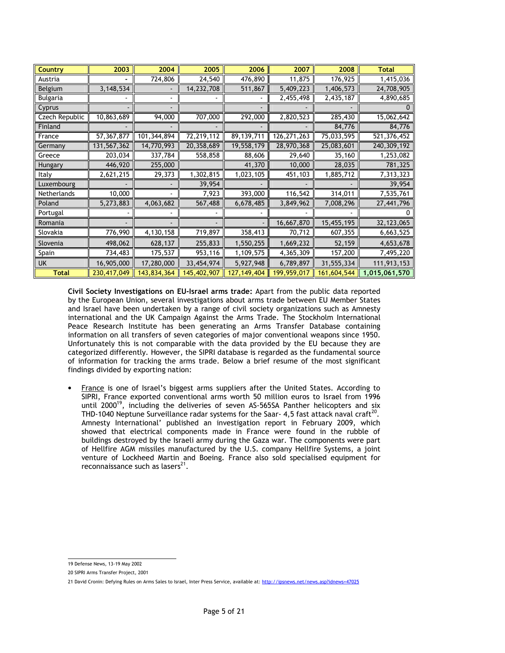| <b>Country</b> | 2003        | 2004        | 2005         | 2006          | 2007          | 2008        | <b>Total</b>  |
|----------------|-------------|-------------|--------------|---------------|---------------|-------------|---------------|
| Austria        |             | 724,806     | 24,540       | 476,890       | 11,875        | 176,925     | 1,415,036     |
| Belgium        | 3, 148, 534 |             | 14, 232, 708 | 511,867       | 5,409,223     | 1,406,573   | 24,708,905    |
| Bulgaria       |             |             |              |               | 2,455,498     | 2,435,187   | 4,890,685     |
| Cyprus         |             |             |              |               |               |             |               |
| Czech Republic | 10,863,689  | 94,000      | 707,000      | 292,000       | 2,820,523     | 285,430     | 15,062,642    |
| Finland        |             |             |              |               |               | 84,776      | 84,776        |
| France         | 57,367,877  | 101,344,894 | 72,219,112   | 89,139,711    | 126, 271, 263 | 75,033,595  | 521,376,452   |
| Germany        | 131,567,362 | 14,770,993  | 20,358,689   | 19,558,179    | 28,970,368    | 25,083,601  | 240,309,192   |
| Greece         | 203,034     | 337,784     | 558,858      | 88,606        | 29,640        | 35,160      | 1,253,082     |
| Hungary        | 446,920     | 255,000     |              | 41,370        | 10,000        | 28,035      | 781,325       |
| Italy          | 2,621,215   | 29,373      | 1,302,815    | 1,023,105     | 451,103       | 1,885,712   | 7,313,323     |
| Luxembourg     |             |             | 39,954       |               |               |             | 39,954        |
| Netherlands    | 10,000      |             | 7,923        | 393,000       | 116,542       | 314,011     | 7,535,761     |
| Poland         | 5,273,883   | 4,063,682   | 567,488      | 6,678,485     | 3,849,962     | 7,008,296   | 27,441,796    |
| Portugal       |             |             |              |               |               |             |               |
| Romania        |             |             |              |               | 16,667,870    | 15,455,195  | 32, 123, 065  |
| Slovakia       | 776,990     | 4,130,158   | 719,897      | 358,413       | 70,712        | 607,355     | 6,663,525     |
| Slovenia       | 498,062     | 628,137     | 255,833      | 1,550,255     | 1,669,232     | 52,159      | 4,653,678     |
| Spain          | 734,483     | 175,537     | 953,116      | 1,109,575     | 4,365,309     | 157,200     | 7,495,220     |
| <b>UK</b>      | 16,905,000  | 17,280,000  | 33,454,974   | 5,927,948     | 6,789,897     | 31,555,334  | 111,913,153   |
| <b>Total</b>   | 230,417,049 | 143,834,364 | 145,402,907  | 127, 149, 404 | 199,959,017   | 161,604,544 | 1,015,061,570 |

Civil Society Investigations on EU-Israel arms trade: Apart from the public data reported by the European Union, several investigations about arms trade between EU Member States and Israel have been undertaken by a range of civil society organizations such as Amnesty international and the UK Campaign Against the Arms Trade. The Stockholm International Peace Research Institute has been generating an Arms Transfer Database containing information on all transfers of seven categories of major conventional weapons since 1950. Unfortunately this is not comparable with the data provided by the EU because they are categorized differently. However, the SIPRI database is regarded as the fundamental source of information for tracking the arms trade. Below a brief resume of the most significant findings divided by exporting nation:

• France is one of Israel's biggest arms suppliers after the United States. According to SIPRI, France exported conventional arms worth 50 million euros to Israel from 1996 until 2000<sup>19</sup>, including the deliveries of seven AS-565SA Panther helicopters and six THD-1040 Neptune Surveillance radar systems for the Saar- 4,5 fast attack naval craft<sup>20</sup>. Amnesty International' published an investigation report in February 2009, which showed that electrical components made in France were found in the rubble of buildings destroyed by the Israeli army during the Gaza war. The components were part of Hellfire AGM missiles manufactured by the U.S. company Hellfire Systems, a joint venture of Lockheed Martin and Boeing. France also sold specialised equipment for reconnaissance such as lasers<sup>21</sup>.

 19 Defense News, 13-19 May 2002

<sup>20</sup> SIPRI Arms Transfer Project, 2001

<sup>21</sup> David Cronin: Defying Rules on Arms Sales to Israel, Inter Press Service, available at: http://ipsnews.net/news.asp?idnews=47025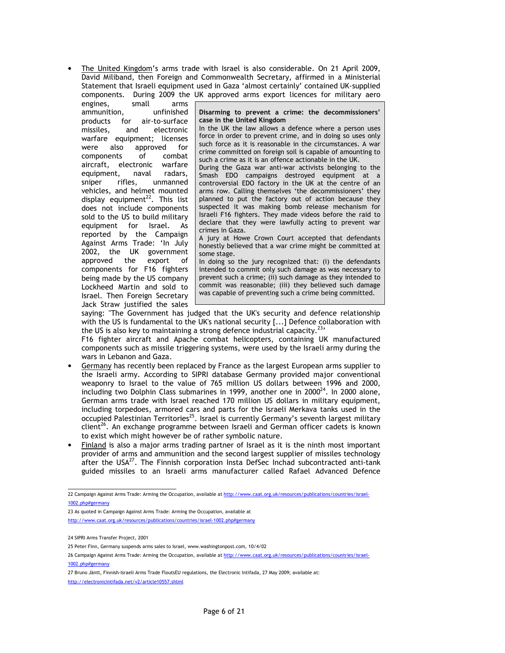• The United Kingdom's arms trade with Israel is also considerable. On 21 April 2009, David Miliband, then Foreign and Commonwealth Secretary, affirmed in a Ministerial Statement that Israeli equipment used in Gaza 'almost certainly' contained UK-supplied components. During 2009 the UK approved arms export licences for military aero

engines, small arms ammunition, unfinished products for air-to-surface missiles, and electronic warfare equipment; licenses were also approved for components of combat aircraft, electronic warfare equipment, naval radars, sniper rifles, unmanned vehicles, and helmet mounted display equipment $^{22}$ . This list does not include components sold to the US to build military equipment for Israel. As reported by the Campaign Against Arms Trade: 'In July 2002, the UK government approved the export of components for F16 fighters being made by the US company Lockheed Martin and sold to Israel. Then Foreign Secretary Jack Straw justified the sales

Disarming to prevent a crime: the decommissioners' case in the United Kingdom

In the UK the law allows a defence where a person uses force in order to prevent crime, and in doing so uses only such force as it is reasonable in the circumstances. A war crime committed on foreign soil is capable of amounting to such a crime as it is an offence actionable in the UK.

During the Gaza war anti-war activists belonging to the Smash EDO campaigns destroyed equipment at a controversial EDO factory in the UK at the centre of an arms row. Calling themselves 'the decommissioners' they planned to put the factory out of action because they suspected it was making bomb release mechanism for Israeli F16 fighters. They made videos before the raid to declare that they were lawfully acting to prevent war crimes in Gaza.

A jury at Howe Crown Court accepted that defendants honestly believed that a war crime might be committed at some stage.

In doing so the jury recognized that: (i) the defendants intended to commit only such damage as was necessary to prevent such a crime; (ii) such damage as they intended to commit was reasonable; (iii) they believed such damage was capable of preventing such a crime being committed.

saying: "The Government has judged that the UK's security and defence relationship with the US is fundamental to the UK's national security [...] Defence collaboration with the US is also key to maintaining a strong defence industrial capacity.<sup>2</sup>

F16 fighter aircraft and Apache combat helicopters, containing UK manufactured components such as missile triggering systems, were used by the Israeli army during the wars in Lebanon and Gaza.

- Germany has recently been replaced by France as the largest European arms supplier to the Israeli army. According to SIPRI database Germany provided major conventional weaponry to Israel to the value of 765 million US dollars between 1996 and 2000, including two Dolphin Class submarines in 1999, another one in 2000 $^{24}$ . In 2000 alone, German arms trade with Israel reached 170 million US dollars in military equipment, including torpedoes, armored cars and parts for the Israeli Merkava tanks used in the occupied Palestinian Territories<sup>25</sup>. Israel is currently Germany's seventh largest military client<sup>26</sup>. An exchange programme between Israeli and German officer cadets is known to exist which might however be of rather symbolic nature.
- Finland is also a major arms trading partner of Israel as it is the ninth most important provider of arms and ammunition and the second largest supplier of missiles technology after the USA<sup>27</sup>. The Finnish corporation Insta DefSec Inchad subcontracted anti-tank guided missiles to an Israeli arms manufacturer called Rafael Advanced Defence

23 As quoted in Campaign Against Arms Trade: Arming the Occupation, available at http://www.caat.org.uk/resources/publications/countries/israel-1002.php#germany

 22 Campaign Against Arms Trade: Arming the Occupation, available at http://www.caat.org.uk/resources/publications/countries/israel-1002.php#germany

<sup>24</sup> SIPRI Arms Transfer Project, 2001

<sup>25</sup> Peter Finn, Germany suspends arms sales to Israel, www.washingtonpost.com, 10/4/02

<sup>26</sup> Campaign Against Arms Trade: Arming the Occupation, available at http://www.caat.org.uk/resources/publications/countries/israel-1002.php#germany

<sup>27</sup> Bruno Jäntt, Finnish-Israeli Arms Trade FloutsEU regulations, the Electronic Intifada, 27 May 2009; available at:

http://electronicintifada.net/v2/article10557.shtml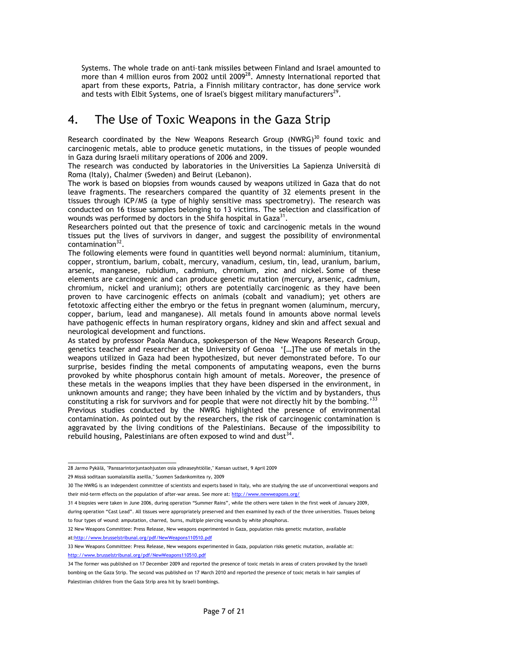Systems. The whole trade on anti–tank missiles between Finland and Israel amounted to more than 4 million euros from 2002 until 2009<sup>28</sup>. Amnesty International reported that apart from these exports, Patria, a Finnish military contractor, has done service work and tests with Elbit Systems, one of Israel's biggest military manufacturers $^{29}$ .

## 4. The Use of Toxic Weapons in the Gaza Strip

Research coordinated by the New Weapons Research Group  $(NWRG)^{30}$  found toxic and carcinogenic metals, able to produce genetic mutations, in the tissues of people wounded in Gaza during Israeli military operations of 2006 and 2009.

The research was conducted by laboratories in the Universities La Sapienza Università di Roma (Italy), Chalmer (Sweden) and Beirut (Lebanon).

The work is based on biopsies from wounds caused by weapons utilized in Gaza that do not leave fragments. The researchers compared the quantity of 32 elements present in the tissues through ICP/MS (a type of highly sensitive mass spectrometry). The research was conducted on 16 tissue samples belonging to 13 victims. The selection and classification of wounds was performed by doctors in the Shifa hospital in Gaza $^{31}$ .

Researchers pointed out that the presence of toxic and carcinogenic metals in the wound tissues put the lives of survivors in danger, and suggest the possibility of environmental contamination<sup>32</sup>.

The following elements were found in quantities well beyond normal: aluminium, titanium, copper, strontium, barium, cobalt, mercury, vanadium, cesium, tin, lead, uranium, barium, arsenic, manganese, rubidium, cadmium, chromium, zinc and nickel. Some of these elements are carcinogenic and can produce genetic mutation (mercury, arsenic, cadmium, chromium, nickel and uranium); others are potentially carcinogenic as they have been proven to have carcinogenic effects on animals (cobalt and vanadium); yet others are fetotoxic affecting either the embryo or the fetus in pregnant women (aluminum, mercury, copper, barium, lead and manganese). All metals found in amounts above normal levels have pathogenic effects in human respiratory organs, kidney and skin and affect sexual and neurological development and functions.

As stated by professor Paola Manduca, spokesperson of the New Weapons Research Group, genetics teacher and researcher at the University of Genoa '[…]The use of metals in the weapons utilized in Gaza had been hypothesized, but never demonstrated before. To our surprise, besides finding the metal components of amputating weapons, even the burns provoked by white phosphorus contain high amount of metals. Moreover, the presence of these metals in the weapons implies that they have been dispersed in the environment, in unknown amounts and range; they have been inhaled by the victim and by bystanders, thus constituting a risk for survivors and for people that were not directly hit by the bombing.<sup>33</sup>

Previous studies conducted by the NWRG highlighted the presence of environmental contamination. As pointed out by the researchers, the risk of carcinogenic contamination is aggravated by the living conditions of the Palestinians. Because of the impossibility to rebuild housing, Palestinians are often exposed to wind and dust $^{34}$ .

28 Jarmo Pykälä, "Panssarintorjuntaohjusten osia ydinaseyhtiölle," Kansan uutiset, 9 April 2009

during operation "Cast Lead". All tissues were appropriately preserved and then examined by each of the three universities. Tissues belong to four types of wound: amputation, charred, burns, multiple piercing wounds by white phosphorus.

<sup>29</sup> Missä soditaan suomalaisilla aseilla," Suomen Sadankomitea ry, 2009

<sup>30</sup> The NWRG is an independent committee of scientists and experts based in Italy, who are studying the use of unconventional weapons and their mid-term effects on the population of after-war areas. See more at: http://www.newweapons.org/

<sup>31 4</sup> biopsies were taken in June 2006, during operation "Summer Rains", while the others were taken in the first week of January 2009,

<sup>32</sup> New Weapons Committee: Press Release, New weapons experimented in Gaza, population risks genetic mutation, available at:http://www.brusselstribunal.org/pdf/NewWeapons110510.pdf

<sup>33</sup> New Weapons Committee: Press Release, New weapons experimented in Gaza, population risks genetic mutation, available at: http://www.brusselstribunal.org/pdf/NewWeapons110510.pdf

<sup>34</sup> The former was published on 17 December 2009 and reported the presence of toxic metals in areas of craters provoked by the Israeli bombing on the Gaza Strip. The second was published on 17 March 2010 and reported the presence of toxic metals in hair samples of Palestinian children from the Gaza Strip area hit by Israeli bombings.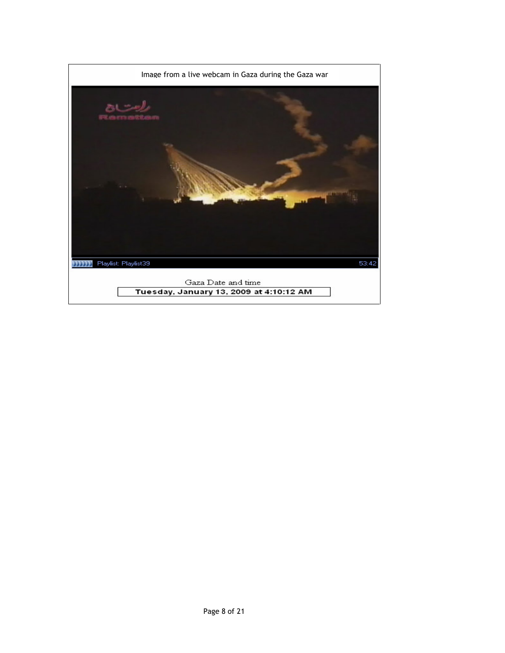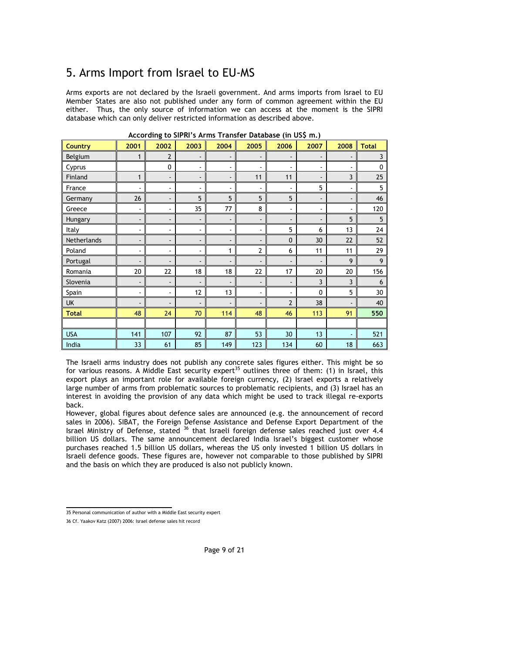# 5. Arms Import from Israel to EU-MS

Arms exports are not declared by the Israeli government. And arms imports from Israel to EU Member States are also not published under any form of common agreement within the EU either. Thus, the only source of information we can access at the moment is the SIPRI database which can only deliver restricted information as described above.

| <b>Country</b> | 2001                     | 2002                     | 2003                     | 2004 | 2005                         | 2006                         | 2007                     | 2008                     | <b>Total</b>   |
|----------------|--------------------------|--------------------------|--------------------------|------|------------------------------|------------------------------|--------------------------|--------------------------|----------------|
| Belgium        | 1                        | $\overline{2}$           | $\overline{\phantom{a}}$ |      |                              |                              |                          |                          | 3              |
| Cyprus         |                          | 0                        | ۰                        |      |                              |                              | $\overline{\phantom{a}}$ |                          | 0              |
| Finland        | $\mathbf{1}$             | $\overline{\phantom{a}}$ | $\overline{\phantom{a}}$ |      | 11                           | 11                           | $\overline{\phantom{a}}$ | 3                        | $25\,$         |
| France         | $\overline{\phantom{a}}$ | $\overline{\phantom{a}}$ | $\blacksquare$           | ۰    | ٠                            |                              | 5                        |                          | $\overline{5}$ |
| Germany        | 26                       | $\overline{\phantom{a}}$ | 5                        | 5    | 5                            | 5                            | $\overline{\phantom{a}}$ | $\overline{\phantom{a}}$ | 46             |
| Greece         | $\overline{\phantom{a}}$ | $\overline{\phantom{a}}$ | 35                       | 77   | 8                            | ä,                           | $\overline{\phantom{a}}$ |                          | 120            |
| Hungary        | $\overline{\phantom{a}}$ | $\overline{\phantom{a}}$ | $\overline{\phantom{a}}$ |      | $\overline{\phantom{a}}$     | $\qquad \qquad \blacksquare$ | $\overline{\phantom{a}}$ | 5                        | 5              |
| Italy          | $\blacksquare$           | $\overline{\phantom{a}}$ | $\blacksquare$           |      | ٠                            | 5                            | 6                        | 13                       | 24             |
| Netherlands    | $\overline{\phantom{a}}$ | $\overline{\phantom{a}}$ | $\overline{\phantom{a}}$ | -    | $\qquad \qquad \blacksquare$ | $\mathbf{0}$                 | 30                       | 22                       | 52             |
| Poland         | $\blacksquare$           | $\frac{1}{2}$            | $\overline{\phantom{a}}$ |      | $\overline{2}$               | 6                            | 11                       | 11                       | 29             |
| Portugal       | $\overline{\phantom{a}}$ | $\overline{\phantom{a}}$ | $\overline{\phantom{a}}$ |      |                              |                              |                          | 9                        | 9              |
| Romania        | 20                       | 22                       | 18                       | 18   | 22                           | 17                           | 20                       | 20                       | 156            |
| Slovenia       | ۰                        | $\overline{\phantom{a}}$ | $\overline{\phantom{a}}$ |      | -                            |                              | 3                        | 3                        | 6              |
| Spain          | $\blacksquare$           | $\overline{\phantom{a}}$ | 12                       | 13   | $\blacksquare$               | ٠                            | 0                        | 5                        | 30             |
| <b>UK</b>      | $\overline{\phantom{a}}$ | $\overline{\phantom{a}}$ | $\overline{\phantom{a}}$ |      |                              | $\overline{2}$               | 38                       |                          | 40             |
| <b>Total</b>   | 48                       | 24                       | 70                       | 114  | 48                           | 46                           | 113                      | 91                       | 550            |
|                |                          |                          |                          |      |                              |                              |                          |                          |                |
| <b>USA</b>     | 141                      | 107                      | 92                       | 87   | 53                           | 30                           | 13                       |                          | 521            |
| India          | 33                       | 61                       | 85                       | 149  | 123                          | 134                          | 60                       | 18                       | 663            |

According to SIPRI's Arms Transfer Database (in US\$ m.)

The Israeli arms industry does not publish any concrete sales figures either. This might be so for various reasons. A Middle East security expert<sup>35</sup> outlines three of them: (1) in Israel, this export plays an important role for available foreign currency, (2) Israel exports a relatively large number of arms from problematic sources to problematic recipients, and (3) Israel has an interest in avoiding the provision of any data which might be used to track illegal re-exports back.

However, global figures about defence sales are announced (e.g. the announcement of record sales in 2006). SIBAT, the Foreign Defense Assistance and Defense Export Department of the Israel Ministry of Defense, stated <sup>36</sup> that Israeli foreign defense sales reached just over 4.4 billion US dollars. The same announcement declared India Israel's biggest customer whose purchases reached 1.5 billion US dollars, whereas the US only invested 1 billion US dollars in Israeli defence goods. These figures are, however not comparable to those published by SIPRI and the basis on which they are produced is also not publicly known.

 35 Personal communication of author with a Middle East security expert

<sup>36</sup> Cf. Yaakov Katz (2007) 2006: Israel defense sales hit record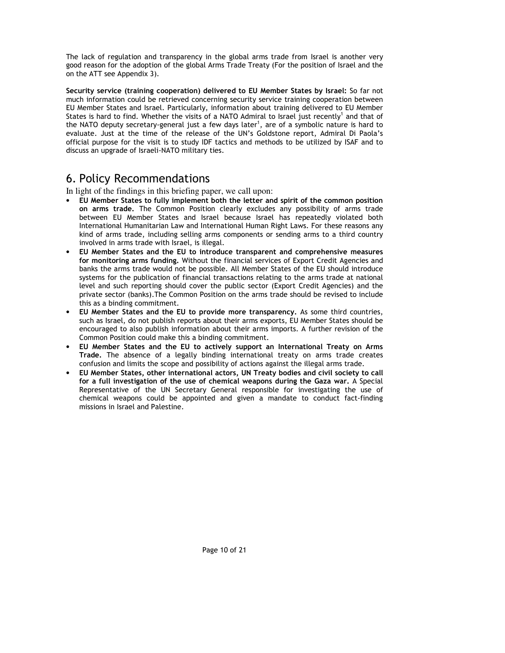The lack of regulation and transparency in the global arms trade from Israel is another very good reason for the adoption of the global Arms Trade Treaty (For the position of Israel and the on the ATT see Appendix 3).

Security service (training cooperation) delivered to EU Member States by Israel: So far not much information could be retrieved concerning security service training cooperation between EU Member States and Israel. Particularly, information about training delivered to EU Member States is hard to find. Whether the visits of a NATO Admiral to Israel just recently<sup>1</sup> and that of the NATO deputy secretary-general just a few days later<sup>1</sup>, are of a symbolic nature is hard to evaluate. Just at the time of the release of the UN's Goldstone report, Admiral Di Paola's official purpose for the visit is to study IDF tactics and methods to be utilized by ISAF and to discuss an upgrade of Israeli-NATO military ties.

## 6. Policy Recommendations

In light of the findings in this briefing paper, we call upon:

- EU Member States to fully implement both the letter and spirit of the common position on arms trade. The Common Position clearly excludes any possibility of arms trade between EU Member States and Israel because Israel has repeatedly violated both International Humanitarian Law and International Human Right Laws. For these reasons any kind of arms trade, including selling arms components or sending arms to a third country involved in arms trade with Israel, is illegal.
- EU Member States and the EU to introduce transparent and comprehensive measures for monitoring arms funding. Without the financial services of Export Credit Agencies and banks the arms trade would not be possible. All Member States of the EU should introduce systems for the publication of financial transactions relating to the arms trade at national level and such reporting should cover the public sector (Export Credit Agencies) and the private sector (banks).The Common Position on the arms trade should be revised to include this as a binding commitment.
- EU Member States and the EU to provide more transparency. As some third countries, such as Israel, do not publish reports about their arms exports, EU Member States should be encouraged to also publish information about their arms imports. A further revision of the Common Position could make this a binding commitment.
- EU Member States and the EU to actively support an International Treaty on Arms Trade. The absence of a legally binding international treaty on arms trade creates confusion and limits the scope and possibility of actions against the illegal arms trade.
- EU Member States, other international actors, UN Treaty bodies and civil society to call for a full investigation of the use of chemical weapons during the Gaza war. A Special Representative of the UN Secretary General responsible for investigating the use of chemical weapons could be appointed and given a mandate to conduct fact-finding missions in Israel and Palestine.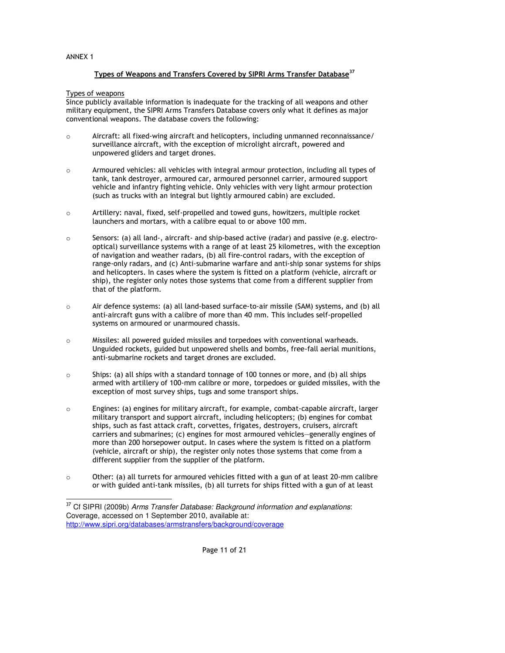## ANNEX 1

-

## Types of Weapons and Transfers Covered by SIPRI Arms Transfer Database<sup>37</sup>

Types of weapons

Since publicly available information is inadequate for the tracking of all weapons and other military equipment, the SIPRI Arms Transfers Database covers only what it defines as major conventional weapons. The database covers the following:

- o Aircraft: all fixed-wing aircraft and helicopters, including unmanned reconnaissance/ surveillance aircraft, with the exception of microlight aircraft, powered and unpowered gliders and target drones.
- o Armoured vehicles: all vehicles with integral armour protection, including all types of tank, tank destroyer, armoured car, armoured personnel carrier, armoured support vehicle and infantry fighting vehicle. Only vehicles with very light armour protection (such as trucks with an integral but lightly armoured cabin) are excluded.
- o Artillery: naval, fixed, self-propelled and towed guns, howitzers, multiple rocket launchers and mortars, with a calibre equal to or above 100 mm.
- $\circ$  Sensors: (a) all land-, aircraft- and ship-based active (radar) and passive (e.g. electrooptical) surveillance systems with a range of at least 25 kilometres, with the exception of navigation and weather radars, (b) all fire-control radars, with the exception of range-only radars, and (c) Anti-submarine warfare and anti-ship sonar systems for ships and helicopters. In cases where the system is fitted on a platform (vehicle, aircraft or ship), the register only notes those systems that come from a different supplier from that of the platform.
- $\circ$  Air defence systems: (a) all land-based surface-to-air missile (SAM) systems, and (b) all anti-aircraft guns with a calibre of more than 40 mm. This includes self-propelled systems on armoured or unarmoured chassis.
- o Missiles: all powered guided missiles and torpedoes with conventional warheads. Unguided rockets, guided but unpowered shells and bombs, free-fall aerial munitions, anti-submarine rockets and target drones are excluded.
- $\circ$  Ships: (a) all ships with a standard tonnage of 100 tonnes or more, and (b) all ships armed with artillery of 100-mm calibre or more, torpedoes or guided missiles, with the exception of most survey ships, tugs and some transport ships.
- o Engines: (a) engines for military aircraft, for example, combat-capable aircraft, larger military transport and support aircraft, including helicopters; (b) engines for combat ships, such as fast attack craft, corvettes, frigates, destroyers, cruisers, aircraft carriers and submarines; (c) engines for most armoured vehicles—generally engines of more than 200 horsepower output. In cases where the system is fitted on a platform (vehicle, aircraft or ship), the register only notes those systems that come from a different supplier from the supplier of the platform.
- $\circ$  Other: (a) all turrets for armoured vehicles fitted with a gun of at least 20-mm calibre or with guided anti-tank missiles, (b) all turrets for ships fitted with a gun of at least

<sup>&</sup>lt;sup>37</sup> Cf SIPRI (2009b) Arms Transfer Database: Background information and explanations: Coverage, accessed on 1 September 2010, available at: http://www.sipri.org/databases/armstransfers/background/coverage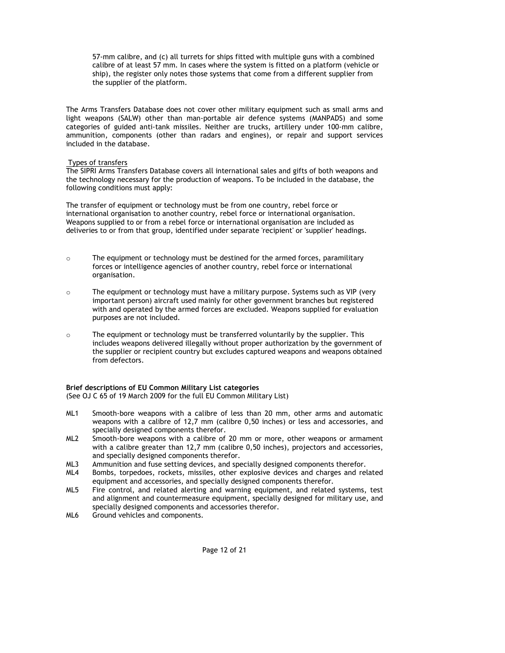57-mm calibre, and (c) all turrets for ships fitted with multiple guns with a combined calibre of at least 57 mm. In cases where the system is fitted on a platform (vehicle or ship), the register only notes those systems that come from a different supplier from the supplier of the platform.

The Arms Transfers Database does not cover other military equipment such as small arms and light weapons (SALW) other than man-portable air defence systems (MANPADS) and some categories of guided anti-tank missiles. Neither are trucks, artillery under 100-mm calibre, ammunition, components (other than radars and engines), or repair and support services included in the database.

## Types of transfers

The SIPRI Arms Transfers Database covers all international sales and gifts of both weapons and the technology necessary for the production of weapons. To be included in the database, the following conditions must apply:

The transfer of equipment or technology must be from one country, rebel force or international organisation to another country, rebel force or international organisation. Weapons supplied to or from a rebel force or international organisation are included as deliveries to or from that group, identified under separate 'recipient' or 'supplier' headings.

- o The equipment or technology must be destined for the armed forces, paramilitary forces or intelligence agencies of another country, rebel force or international organisation.
- $\circ$  The equipment or technology must have a military purpose. Systems such as VIP (very important person) aircraft used mainly for other government branches but registered with and operated by the armed forces are excluded. Weapons supplied for evaluation purposes are not included.
- $\circ$  The equipment or technology must be transferred voluntarily by the supplier. This includes weapons delivered illegally without proper authorization by the government of the supplier or recipient country but excludes captured weapons and weapons obtained from defectors.

#### Brief descriptions of EU Common Military List categories

(See OJ C 65 of 19 March 2009 for the full EU Common Military List)

- ML1 Smooth-bore weapons with a calibre of less than 20 mm, other arms and automatic weapons with a calibre of 12,7 mm (calibre 0,50 inches) or less and accessories, and specially designed components therefor.
- ML2 Smooth-bore weapons with a calibre of 20 mm or more, other weapons or armament with a calibre greater than 12,7 mm (calibre 0,50 inches), projectors and accessories, and specially designed components therefor.
- ML3 Ammunition and fuse setting devices, and specially designed components therefor.
- ML4 Bombs, torpedoes, rockets, missiles, other explosive devices and charges and related equipment and accessories, and specially designed components therefor.
- ML5 Fire control, and related alerting and warning equipment, and related systems, test and alignment and countermeasure equipment, specially designed for military use, and specially designed components and accessories therefor.
- ML6 Ground vehicles and components.

Page 12 of 21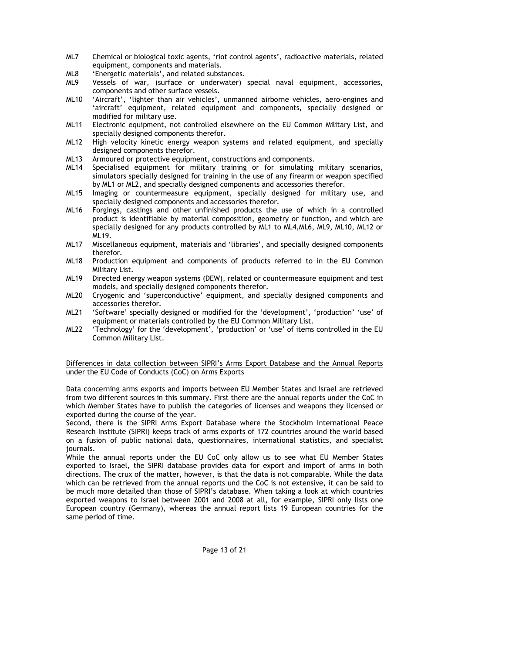- ML7 Chemical or biological toxic agents, 'riot control agents', radioactive materials, related equipment, components and materials.
- ML8 'Energetic materials', and related substances.
- ML9 Vessels of war, (surface or underwater) special naval equipment, accessories, components and other surface vessels.
- ML10 'Aircraft', 'lighter than air vehicles', unmanned airborne vehicles, aero-engines and 'aircraft' equipment, related equipment and components, specially designed or modified for military use.
- ML11 Electronic equipment, not controlled elsewhere on the EU Common Military List, and specially designed components therefor.
- ML12 High velocity kinetic energy weapon systems and related equipment, and specially designed components therefor.
- ML13 Armoured or protective equipment, constructions and components.
- ML14 Specialised equipment for military training or for simulating military scenarios, simulators specially designed for training in the use of any firearm or weapon specified by ML1 or ML2, and specially designed components and accessories therefor.
- ML15 Imaging or countermeasure equipment, specially designed for military use, and specially designed components and accessories therefor.
- ML16 Forgings, castings and other unfinished products the use of which in a controlled product is identifiable by material composition, geometry or function, and which are specially designed for any products controlled by ML1 to ML4,ML6, ML9, ML10, ML12 or ML19.
- ML17 Miscellaneous equipment, materials and 'libraries', and specially designed components therefor.
- ML18 Production equipment and components of products referred to in the EU Common Military List.
- ML19 Directed energy weapon systems (DEW), related or countermeasure equipment and test models, and specially designed components therefor.
- ML20 Cryogenic and 'superconductive' equipment, and specially designed components and accessories therefor.
- ML21 'Software' specially designed or modified for the 'development', 'production' 'use' of equipment or materials controlled by the EU Common Military List.
- ML22 'Technology' for the 'development', 'production' or 'use' of items controlled in the EU Common Military List.

## Differences in data collection between SIPRI's Arms Export Database and the Annual Reports under the EU Code of Conducts (CoC) on Arms Exports

Data concerning arms exports and imports between EU Member States and Israel are retrieved from two different sources in this summary. First there are the annual reports under the CoC in which Member States have to publish the categories of licenses and weapons they licensed or exported during the course of the year.

Second, there is the SIPRI Arms Export Database where the Stockholm International Peace Research Institute (SIPRI) keeps track of arms exports of 172 countries around the world based on a fusion of public national data, questionnaires, international statistics, and specialist journals.

While the annual reports under the EU CoC only allow us to see what EU Member States exported to Israel, the SIPRI database provides data for export and import of arms in both directions. The crux of the matter, however, is that the data is not comparable. While the data which can be retrieved from the annual reports und the CoC is not extensive, it can be said to be much more detailed than those of SIPRI's database. When taking a look at which countries exported weapons to Israel between 2001 and 2008 at all, for example, SIPRI only lists one European country (Germany), whereas the annual report lists 19 European countries for the same period of time.

Page 13 of 21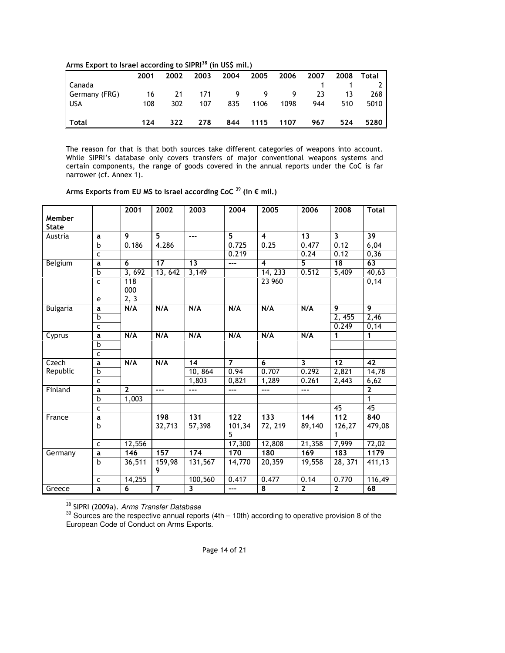|  |  |  | Arms Export to Israel according to SIPRI <sup>38</sup> (in US\$ mil.) |  |  |
|--|--|--|-----------------------------------------------------------------------|--|--|
|--|--|--|-----------------------------------------------------------------------|--|--|

|               | 2001 | 2002 | 2003 | 2004 | 2005 2006 2007 |      |     |     | 2008 Total |
|---------------|------|------|------|------|----------------|------|-----|-----|------------|
| Canada        |      |      |      |      |                |      |     |     | 2          |
| Germany (FRG) | 16   | 21   | 171  |      | 9999           |      | 23  | 13  | 268        |
| I USA         | 108  | 302  | 107  | 835  | 1106           | 1098 | 944 | 510 | 5010       |
|               |      |      |      |      |                |      |     |     |            |
| $\vert$ Total | 124  | 322  | 278  |      | 844 1115 1107  |      | 967 | 524 | 5280       |

The reason for that is that both sources take different categories of weapons into account. While SIPRI's database only covers transfers of major conventional weapons systems and certain components, the range of goods covered in the annual reports under the CoC is far narrower (cf. Annex 1).

| Arms Exports from EU MS to Israel according CoC $39$ (in € mil.) |  |  |  |
|------------------------------------------------------------------|--|--|--|
|------------------------------------------------------------------|--|--|--|

|                 |              | 2001           | 2002           | 2003            | 2004             | 2005                    | 2006                    | 2008                    | <b>Total</b>    |
|-----------------|--------------|----------------|----------------|-----------------|------------------|-------------------------|-------------------------|-------------------------|-----------------|
| Member          |              |                |                |                 |                  |                         |                         |                         |                 |
| <b>State</b>    |              |                |                |                 |                  |                         |                         |                         |                 |
| Austria         | a            | 9              | 5              | $---$           | 5                | $\overline{4}$          | 13                      | $\overline{\mathbf{3}}$ | 39              |
|                 | $\mathbf b$  | 0.186          | 4.286          |                 | 0.725            | 0.25                    | 0.477                   | 0.12                    | 6,04            |
|                 | $\mathsf{C}$ |                |                |                 | 0.219            |                         | 0.24                    | 0.12                    | 0,36            |
| Belgium         | a            | 6              | 17             | 13              | $---$            | $\overline{\mathbf{4}}$ | 5                       | 18                      | 63              |
|                 | $\mathbf b$  | 3,692          | 13,642         | 3,149           |                  | 14, 233                 | 0.512                   | 5,409                   | 40,63           |
|                 | $\mathsf{C}$ | 118            |                |                 |                  | 23 960                  |                         |                         | 0,14            |
|                 |              | 000            |                |                 |                  |                         |                         |                         |                 |
|                 | e            | 2, 3           |                |                 |                  |                         |                         |                         |                 |
| <b>Bulgaria</b> | a            | N/A            | N/A            | N/A             | N/A              | N/A                     | N/A                     | $\overline{9}$          | $\overline{9}$  |
|                 | b            |                |                |                 |                  |                         |                         | 2, 455                  | 2,46            |
|                 | $\mathsf{C}$ |                |                |                 |                  |                         |                         | 0.249                   | 0,14            |
| Cyprus          | a            | N/A            | N/A            | N/A             | N/A              | N/A                     | N/A                     | 1                       | 1               |
|                 | b            |                |                |                 |                  |                         |                         |                         |                 |
|                 | $\mathsf{C}$ |                |                |                 |                  |                         |                         |                         |                 |
| Czech           | a            | N/A            | N/A            | $\overline{14}$ | $\overline{7}$   | $\overline{6}$          | $\overline{\mathbf{3}}$ | $\overline{12}$         | $\overline{42}$ |
| Republic        | b            |                |                | 10, 864         | 0.94             | 0.707                   | 0.292                   | 2,821                   | 14,78           |
|                 | $\mathsf{C}$ |                |                | 1,803           | 0,821            | 1,289                   | 0.261                   | 2,443                   | 6,62            |
| Finland         | a            | $\overline{2}$ | $---$          | ---             | ---              | ---                     | ---                     |                         | $\overline{2}$  |
|                 | b            | 1,003          |                |                 |                  |                         |                         |                         | 1               |
|                 | $\mathsf{C}$ |                |                |                 |                  |                         |                         | 45                      | 45              |
| France          | a            |                | 198            | 131             | $\overline{122}$ | 133                     | 144                     | $\overline{112}$        | 840             |
|                 | b            |                | 32,713         | 57,398          | 101, 34<br>5     | 72, 219                 | 89,140                  | 126,27                  | 479,08          |
|                 | $\mathsf{C}$ | 12,556         |                |                 | 17,300           | 12,808                  | 21,358                  | 7,999                   | 72,02           |
| Germany         | a            | 146            | 157            | $\frac{1}{174}$ | 170              | 180                     | 169                     | 183                     | 1179            |
|                 | $\mathbf b$  | 36,511         | 159,98<br>9    | 131,567         | 14,770           | 20,359                  | 19,558                  | 28, 371                 | 411,13          |
|                 | $\mathsf{C}$ | 14,255         |                | 100,560         | 0.417            | 0.477                   | 0.14                    | 0.770                   | 116,49          |
| Greece          | a            | 6              | $\overline{7}$ | 3               | ---              | 8                       | $\overline{2}$          | $\overline{2}$          | 68              |

-<sup>38</sup> SIPRI (2009a). Arms Transfer Database

 $39$  Sources are the respective annual reports (4th  $-$  10th) according to operative provision 8 of the European Code of Conduct on Arms Exports.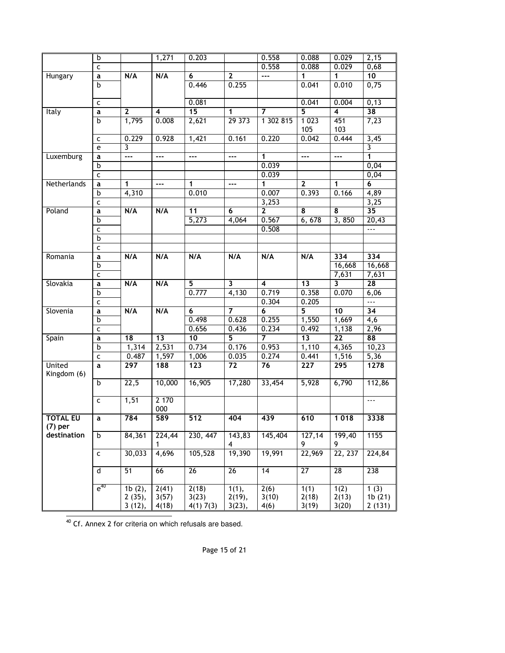|                 | b            |                          | 1,271  | 0.203            |                         | 0.558                   | 0.088            | 0.029                    | 2,15                 |
|-----------------|--------------|--------------------------|--------|------------------|-------------------------|-------------------------|------------------|--------------------------|----------------------|
|                 | $\mathsf{C}$ |                          |        |                  |                         | 0.558                   | 0.088            | 0.029                    | 0,68                 |
| Hungary         | a            | N/A                      | N/A    | 6                | $\mathbf{2}$            | ---                     | 1                | 1                        | $\overline{10}$      |
|                 | b            |                          |        | 0.446            | 0.255                   |                         | 0.041            | 0.010                    | 0,75                 |
|                 |              |                          |        |                  |                         |                         |                  |                          |                      |
|                 | $\mathsf{C}$ |                          |        | 0.081            |                         |                         | 0.041            | 0.004                    | 0, 13                |
| Italy           | а            | $\mathbf{2}$             | 4      | $\overline{15}$  | 1                       | 7                       | 5                | 4                        | $\overline{38}$      |
|                 | b            | 1,795                    | 0.008  | 2,621            | 29373                   | 1 302 815               | 1 0 2 3          | 451                      | 7,23                 |
|                 |              |                          |        |                  |                         |                         | 105              | 103                      |                      |
|                 | $\mathsf{C}$ | 0.229                    | 0.928  | 1,421            | 0.161                   | 0.220                   | 0.042            | 0.444                    | 3,45                 |
|                 | e            | 3                        |        |                  |                         |                         |                  |                          | 3                    |
| Luxemburg       | a            | $\overline{\phantom{a}}$ | ---    | ---              | $---$                   | 1                       | ---              | ---                      | 1                    |
|                 | b            |                          |        |                  |                         | 0.039                   |                  |                          | 0,04                 |
|                 | $\mathsf{C}$ |                          |        |                  |                         | 0.039                   |                  |                          | 0,04                 |
| Netherlands     | a            | 1                        | $---$  | 1                | $\overline{a}$          | 1                       | $\mathbf{2}$     | 1                        | 6                    |
|                 | b            | 4,310                    |        | 0.010            |                         | 0.007                   | 0.393            | 0.166                    | 4,89                 |
|                 | $\mathsf{C}$ |                          |        |                  |                         | 3,253                   |                  |                          | 3,25                 |
| Poland          | a            | N/A                      | N/A    | 11               | 6                       | $\overline{2}$          | 8                | 8                        | $\overline{35}$      |
|                 | b            |                          |        | 5,273            | 4,064                   | 0.567                   | 6,678            | 3,850                    | 20,43                |
|                 | C            |                          |        |                  |                         | 0.508                   |                  |                          | $\sim$ $\sim$ $\sim$ |
|                 | b            |                          |        |                  |                         |                         |                  |                          |                      |
|                 | $\mathsf{C}$ |                          |        |                  |                         |                         |                  |                          |                      |
| Romania         | a            | N/A                      | N/A    | N/A              | N/A                     | N/A                     | N/A              | 334                      | 334                  |
|                 | b            |                          |        |                  |                         |                         |                  | 16,668                   | 16,668               |
|                 | $\mathsf{C}$ |                          |        |                  |                         |                         |                  | 7,631                    | 7,631                |
| Slovakia        | a            | N/A                      | N/A    | $\overline{5}$   | $\overline{\mathbf{3}}$ | $\overline{\mathbf{4}}$ | $\overline{13}$  | 3                        | 28                   |
|                 | b            |                          |        | 0.777            | 4,130                   | 0.719                   | 0.358            | 0.070                    | 6,06                 |
|                 | $\mathsf{C}$ |                          |        |                  |                         | 0.304                   | 0.205            |                          | ---                  |
| Slovenia        | a            | N/A                      | N/A    | 6                | $\overline{7}$          | 6                       | 5                | 10                       | 34                   |
|                 | b            |                          |        | 0.498            | 0.628                   | 0.255                   | 1,550            | 1,669                    | $\overline{4,6}$     |
|                 | $\mathsf{C}$ | $\overline{18}$          | 13     | 0.656<br>10      | 0.436<br>$\overline{5}$ | 0.234<br>$\overline{7}$ | 0.492<br>13      | 1,138<br>$\overline{22}$ | 2,96<br>88           |
| Spain           | a<br>b       | 1,314                    | 2,531  | 0.734            | 0.176                   | 0.953                   | 1,110            | 4,365                    | 10,23                |
|                 | $\mathsf{C}$ | 0.487                    | 1,597  | 1,006            | 0.035                   | 0.274                   | 0.441            | 1,516                    |                      |
| <b>United</b>   | a            | 297                      | 188    | $\overline{123}$ | 72                      | 76                      | $\overline{227}$ | 295                      | 5,36<br>1278         |
| Kingdom (6)     |              |                          |        |                  |                         |                         |                  |                          |                      |
|                 | b            | 22,5                     | 10,000 | 16,905           | 17,280                  | 33,454                  | 5,928            | 6,790                    | 112,86               |
|                 |              |                          |        |                  |                         |                         |                  |                          |                      |
|                 | C            | 1,51                     | 2 170  |                  |                         |                         |                  |                          | $\sim$ $\sim$ $\sim$ |
|                 |              |                          | 000    |                  |                         |                         |                  |                          |                      |
| <b>TOTAL EU</b> | a            | 784                      | 589    | 512              | 404                     | 439                     | 610              | 1 0 1 8                  | 3338                 |
| $(7)$ per       |              |                          |        |                  |                         |                         |                  |                          |                      |
| destination     | b            | 84,361                   | 224,44 | 230, 447         | 143,83                  | 145,404                 | 127,14           | 199,40                   | 1155                 |
|                 |              |                          | 1      |                  | 4                       |                         | 9                | 9                        |                      |
|                 | $\mathsf{C}$ | 30,033                   | 4,696  | 105,528          | 19,390                  | 19,991                  | 22,969           | 22, 237                  | 224,84               |
|                 |              |                          |        |                  |                         |                         |                  |                          |                      |
|                 | $\sf d$      | 51                       | 66     | 26               | 26                      | $\overline{14}$         | $\overline{27}$  | 28                       | 238                  |
|                 |              |                          |        |                  |                         |                         |                  |                          |                      |
|                 | $e^{40}$     | 1b(2),                   | 2(41)  | 2(18)            | 1(1),                   | 2(6)                    | 1(1)             | 1(2)                     | 1(3)                 |
|                 |              | 2(35),                   | 3(57)  | 3(23)            | 2(19),                  | 3(10)                   | 2(18)            | 2(13)                    | 1b(21)               |
|                 |              | 3(12),                   | 4(18)  | 4(1) 7(3)        | 3(23),                  | 4(6)                    | 3(19)            | 3(20)                    | 2(131)               |

-<sup>40</sup> Cf. Annex 2 for criteria on which refusals are based.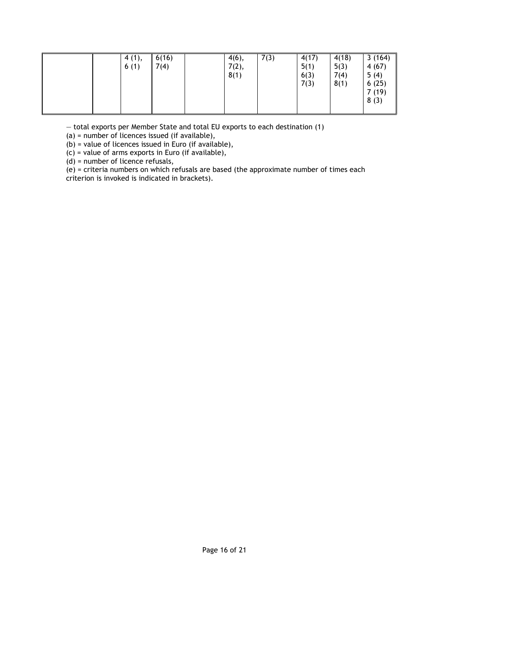| 6(16)<br>4(1),<br>6(1)<br>7(4) | 7(3)<br>$4(6)$ ,<br>7(2),<br>8(1) | 4(17)<br>5(1)<br>6(3)<br>7(3) | 4(18)<br>5(3)<br>7(4)<br>8(1) | 3(164)<br>4(67)<br>5(4)<br>6(25)<br>7(19)<br>8(3) |
|--------------------------------|-----------------------------------|-------------------------------|-------------------------------|---------------------------------------------------|
|--------------------------------|-----------------------------------|-------------------------------|-------------------------------|---------------------------------------------------|

— total exports per Member State and total EU exports to each destination (1)

(a) = number of licences issued (if available),

(b) = value of licences issued in Euro (if available),

(c) = value of arms exports in Euro (if available),

(d) = number of licence refusals,

(e) = criteria numbers on which refusals are based (the approximate number of times each criterion is invoked is indicated in brackets).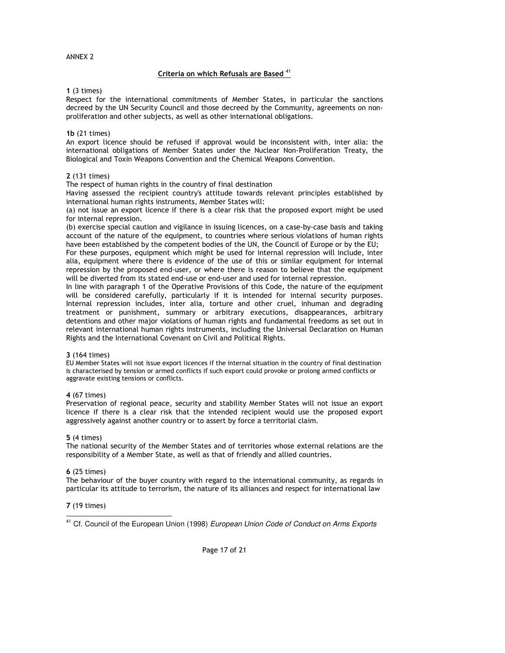## Criteria on which Refusals are Based<sup>41</sup>

#### 1 (3 times)

Respect for the international commitments of Member States, in particular the sanctions decreed by the UN Security Council and those decreed by the Community, agreements on nonproliferation and other subjects, as well as other international obligations.

#### 1b (21 times)

An export licence should be refused if approval would be inconsistent with, inter alia: the international obligations of Member States under the Nuclear Non-Proliferation Treaty, the Biological and Toxin Weapons Convention and the Chemical Weapons Convention.

#### 2 (131 times)

The respect of human rights in the country of final destination

Having assessed the recipient country's attitude towards relevant principles established by international human rights instruments, Member States will:

(a) not issue an export licence if there is a clear risk that the proposed export might be used for internal repression.

(b) exercise special caution and vigilance in issuing licences, on a case-by-case basis and taking account of the nature of the equipment, to countries where serious violations of human rights have been established by the competent bodies of the UN, the Council of Europe or by the EU;

For these purposes, equipment which might be used for internal repression will include, inter alia, equipment where there is evidence of the use of this or similar equipment for internal repression by the proposed end-user, or where there is reason to believe that the equipment will be diverted from its stated end-use or end-user and used for internal repression.

In line with paragraph 1 of the Operative Provisions of this Code, the nature of the equipment will be considered carefully, particularly if it is intended for internal security purposes. Internal repression includes, inter alia, torture and other cruel, inhuman and degrading treatment or punishment, summary or arbitrary executions, disappearances, arbitrary detentions and other major violations of human rights and fundamental freedoms as set out in relevant international human rights instruments, including the Universal Declaration on Human Rights and the International Covenant on Civil and Political Rights.

#### 3 (164 times)

EU Member States will not issue export licences if the internal situation in the country of final destination is characterised by tension or armed conflicts if such export could provoke or prolong armed conflicts or aggravate existing tensions or conflicts.

## 4 (67 times)

Preservation of regional peace, security and stability Member States will not issue an export licence if there is a clear risk that the intended recipient would use the proposed export aggressively against another country or to assert by force a territorial claim.

#### 5 (4 times)

The national security of the Member States and of territories whose external relations are the responsibility of a Member State, as well as that of friendly and allied countries.

#### 6 (25 times)

The behaviour of the buyer country with regard to the international community, as regards in particular its attitude to terrorism, the nature of its alliances and respect for international law

## 7 (19 times)

-<sup>41</sup> Cf. Council of the European Union (1998) European Union Code of Conduct on Arms Exports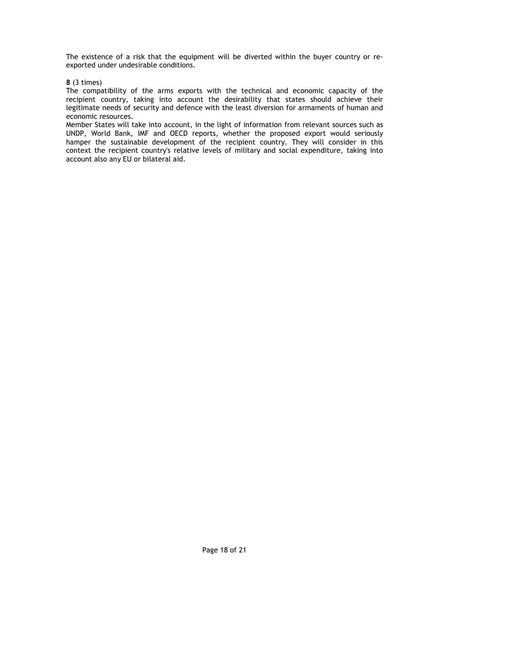The existence of a risk that the equipment will be diverted within the buyer country or reexported under undesirable conditions.

8 (3 times)

The compatibility of the arms exports with the technical and economic capacity of the recipient country, taking into account the desirability that states should achieve their legitimate needs of security and defence with the least diversion for armaments of human and economic resources.

Member States will take into account, in the light of information from relevant sources such as UNDP, World Bank, IMF and OECD reports, whether the proposed export would seriously hamper the sustainable development of the recipient country. They will consider in this context the recipient country's relative levels of military and social expenditure, taking into account also any EU or bilateral aid.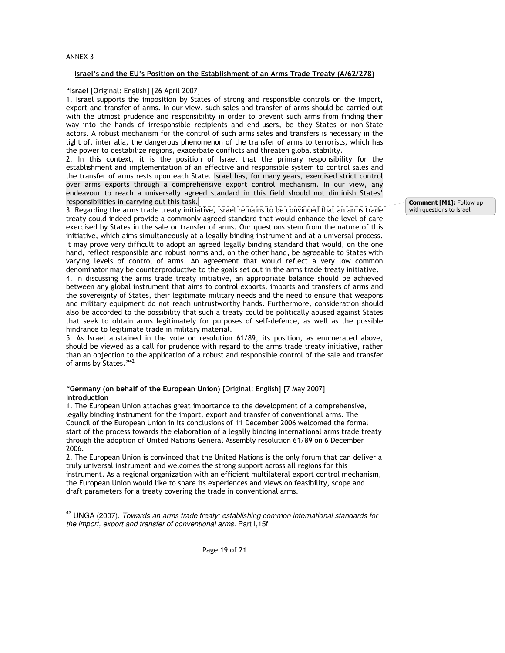#### ANNEX 3

-

## Israel's and the EU's Position on the Establishment of an Arms Trade Treaty (A/62/278)

#### "Israel [Original: English] [26 April 2007]

1. Israel supports the imposition by States of strong and responsible controls on the import, export and transfer of arms. In our view, such sales and transfer of arms should be carried out with the utmost prudence and responsibility in order to prevent such arms from finding their way into the hands of irresponsible recipients and end-users, be they States or non-State actors. A robust mechanism for the control of such arms sales and transfers is necessary in the light of, inter alia, the dangerous phenomenon of the transfer of arms to terrorists, which has the power to destabilize regions, exacerbate conflicts and threaten global stability.

2. In this context, it is the position of Israel that the primary responsibility for the establishment and implementation of an effective and responsible system to control sales and the transfer of arms rests upon each State. Israel has, for many years, exercised strict control over arms exports through a comprehensive export control mechanism. In our view, any endeavour to reach a universally agreed standard in this field should not diminish States' responsibilities in carrying out this task.

3. Regarding the arms trade treaty initiative, Israel remains to be convinced that an arms trade treaty could indeed provide a commonly agreed standard that would enhance the level of care exercised by States in the sale or transfer of arms. Our questions stem from the nature of this initiative, which aims simultaneously at a legally binding instrument and at a universal process. It may prove very difficult to adopt an agreed legally binding standard that would, on the one hand, reflect responsible and robust norms and, on the other hand, be agreeable to States with varying levels of control of arms. An agreement that would reflect a very low common denominator may be counterproductive to the goals set out in the arms trade treaty initiative.

4. In discussing the arms trade treaty initiative, an appropriate balance should be achieved between any global instrument that aims to control exports, imports and transfers of arms and the sovereignty of States, their legitimate military needs and the need to ensure that weapons and military equipment do not reach untrustworthy hands. Furthermore, consideration should also be accorded to the possibility that such a treaty could be politically abused against States that seek to obtain arms legitimately for purposes of self-defence, as well as the possible hindrance to legitimate trade in military material.

5. As Israel abstained in the vote on resolution 61/89, its position, as enumerated above, should be viewed as a call for prudence with regard to the arms trade treaty initiative, rather than an objection to the application of a robust and responsible control of the sale and transfer of arms by States."<sup>42</sup>

### "Germany (on behalf of the European Union) [Original: English] [7 May 2007] Introduction

1. The European Union attaches great importance to the development of a comprehensive, legally binding instrument for the import, export and transfer of conventional arms. The Council of the European Union in its conclusions of 11 December 2006 welcomed the formal start of the process towards the elaboration of a legally binding international arms trade treaty through the adoption of United Nations General Assembly resolution 61/89 on 6 December 2006.

2. The European Union is convinced that the United Nations is the only forum that can deliver a truly universal instrument and welcomes the strong support across all regions for this instrument. As a regional organization with an efficient multilateral export control mechanism, the European Union would like to share its experiences and views on feasibility, scope and draft parameters for a treaty covering the trade in conventional arms.

Comment [M1]: Follow up with questions to Israel

 $42$  UNGA (2007). Towards an arms trade treaty: establishing common international standards for the import, export and transfer of conventional arms. Part I,15f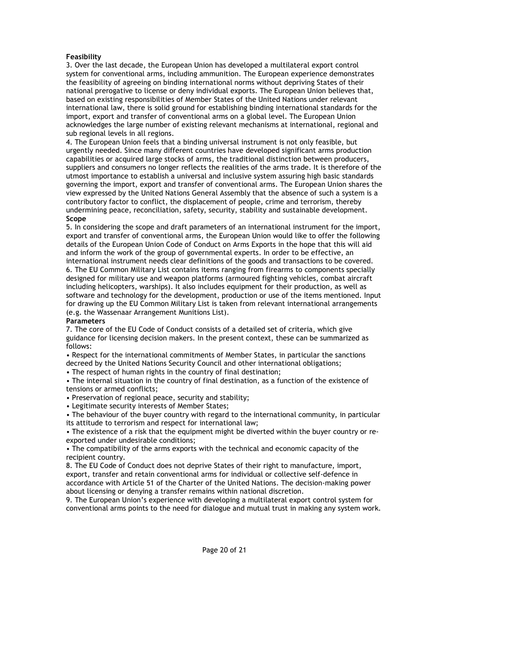## Feasibility

3. Over the last decade, the European Union has developed a multilateral export control system for conventional arms, including ammunition. The European experience demonstrates the feasibility of agreeing on binding international norms without depriving States of their national prerogative to license or deny individual exports. The European Union believes that, based on existing responsibilities of Member States of the United Nations under relevant international law, there is solid ground for establishing binding international standards for the import, export and transfer of conventional arms on a global level. The European Union acknowledges the large number of existing relevant mechanisms at international, regional and sub regional levels in all regions.

4. The European Union feels that a binding universal instrument is not only feasible, but urgently needed. Since many different countries have developed significant arms production capabilities or acquired large stocks of arms, the traditional distinction between producers, suppliers and consumers no longer reflects the realities of the arms trade. It is therefore of the utmost importance to establish a universal and inclusive system assuring high basic standards governing the import, export and transfer of conventional arms. The European Union shares the view expressed by the United Nations General Assembly that the absence of such a system is a contributory factor to conflict, the displacement of people, crime and terrorism, thereby undermining peace, reconciliation, safety, security, stability and sustainable development. Scope

5. In considering the scope and draft parameters of an international instrument for the import, export and transfer of conventional arms, the European Union would like to offer the following details of the European Union Code of Conduct on Arms Exports in the hope that this will aid and inform the work of the group of governmental experts. In order to be effective, an international instrument needs clear definitions of the goods and transactions to be covered.

6. The EU Common Military List contains items ranging from firearms to components specially designed for military use and weapon platforms (armoured fighting vehicles, combat aircraft including helicopters, warships). It also includes equipment for their production, as well as software and technology for the development, production or use of the items mentioned. Input for drawing up the EU Common Military List is taken from relevant international arrangements (e.g. the Wassenaar Arrangement Munitions List).

#### **Parameters**

7. The core of the EU Code of Conduct consists of a detailed set of criteria, which give guidance for licensing decision makers. In the present context, these can be summarized as follows:

• Respect for the international commitments of Member States, in particular the sanctions decreed by the United Nations Security Council and other international obligations;

• The respect of human rights in the country of final destination;

• The internal situation in the country of final destination, as a function of the existence of tensions or armed conflicts;

• Preservation of regional peace, security and stability;

• Legitimate security interests of Member States;

• The behaviour of the buyer country with regard to the international community, in particular its attitude to terrorism and respect for international law;

• The existence of a risk that the equipment might be diverted within the buyer country or reexported under undesirable conditions;

• The compatibility of the arms exports with the technical and economic capacity of the recipient country.

8. The EU Code of Conduct does not deprive States of their right to manufacture, import, export, transfer and retain conventional arms for individual or collective self-defence in accordance with Article 51 of the Charter of the United Nations. The decision-making power about licensing or denying a transfer remains within national discretion.

9. The European Union's experience with developing a multilateral export control system for conventional arms points to the need for dialogue and mutual trust in making any system work.

Page 20 of 21